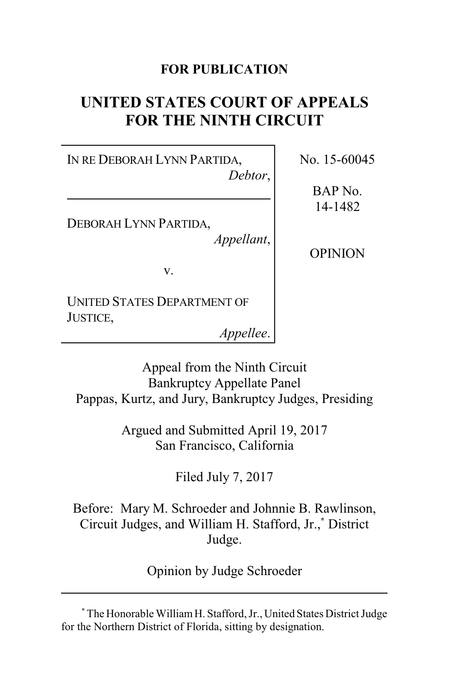### **FOR PUBLICATION**

# **UNITED STATES COURT OF APPEALS FOR THE NINTH CIRCUIT**

IN RE DEBORAH LYNN PARTIDA, *Debtor*,

DEBORAH LYNN PARTIDA,

*Appellant*,

v.

UNITED STATES DEPARTMENT OF JUSTICE,

*Appellee*.

No. 15-60045

BAP No. 14-1482

OPINION

Appeal from the Ninth Circuit Bankruptcy Appellate Panel Pappas, Kurtz, and Jury, Bankruptcy Judges, Presiding

> Argued and Submitted April 19, 2017 San Francisco, California

> > Filed July 7, 2017

Before: Mary M. Schroeder and Johnnie B. Rawlinson, Circuit Judges, and William H. Stafford, Jr.,**\*** District Judge.

Opinion by Judge Schroeder

**\*** The Honorable WilliamH. Stafford, Jr., United States District Judge for the Northern District of Florida, sitting by designation.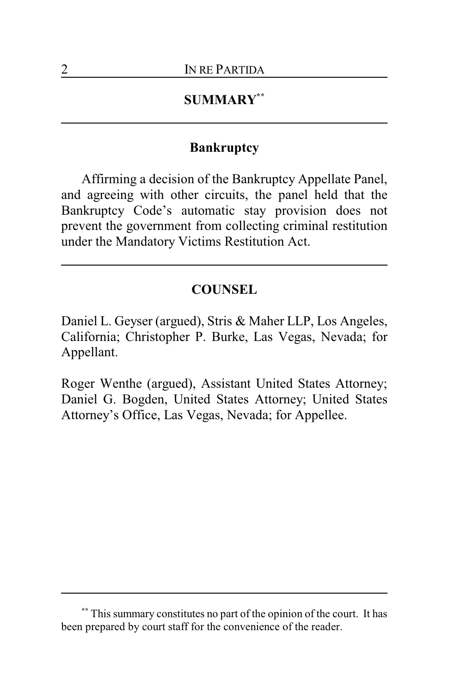#### **SUMMARY\*\***

#### **Bankruptcy**

Affirming a decision of the Bankruptcy Appellate Panel, and agreeing with other circuits, the panel held that the Bankruptcy Code's automatic stay provision does not prevent the government from collecting criminal restitution under the Mandatory Victims Restitution Act.

#### **COUNSEL**

Daniel L. Geyser (argued), Stris & Maher LLP, Los Angeles, California; Christopher P. Burke, Las Vegas, Nevada; for Appellant.

Roger Wenthe (argued), Assistant United States Attorney; Daniel G. Bogden, United States Attorney; United States Attorney's Office, Las Vegas, Nevada; for Appellee.

**<sup>\*\*</sup>** This summary constitutes no part of the opinion of the court. It has been prepared by court staff for the convenience of the reader.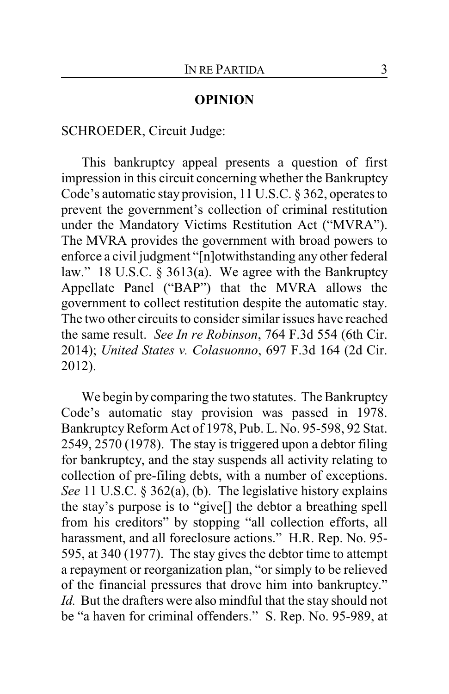#### **OPINION**

#### SCHROEDER, Circuit Judge:

This bankruptcy appeal presents a question of first impression in this circuit concerning whether the Bankruptcy Code's automatic stay provision, 11 U.S.C. § 362, operates to prevent the government's collection of criminal restitution under the Mandatory Victims Restitution Act ("MVRA"). The MVRA provides the government with broad powers to enforce a civil judgment "[n]otwithstanding any other federal law." 18 U.S.C. § 3613(a). We agree with the Bankruptcy Appellate Panel ("BAP") that the MVRA allows the government to collect restitution despite the automatic stay. The two other circuits to consider similar issues have reached the same result. *See In re Robinson*, 764 F.3d 554 (6th Cir. 2014); *United States v. Colasuonno*, 697 F.3d 164 (2d Cir. 2012).

We begin by comparing the two statutes. The Bankruptcy Code's automatic stay provision was passed in 1978. Bankruptcy Reform Act of 1978, Pub. L. No. 95-598, 92 Stat. 2549, 2570 (1978). The stay is triggered upon a debtor filing for bankruptcy, and the stay suspends all activity relating to collection of pre-filing debts, with a number of exceptions. *See* 11 U.S.C. § 362(a), (b). The legislative history explains the stay's purpose is to "give[] the debtor a breathing spell from his creditors" by stopping "all collection efforts, all harassment, and all foreclosure actions." H.R. Rep. No. 95-595, at 340 (1977). The stay gives the debtor time to attempt a repayment or reorganization plan, "or simply to be relieved of the financial pressures that drove him into bankruptcy." *Id.* But the drafters were also mindful that the stay should not be "a haven for criminal offenders." S. Rep. No. 95-989, at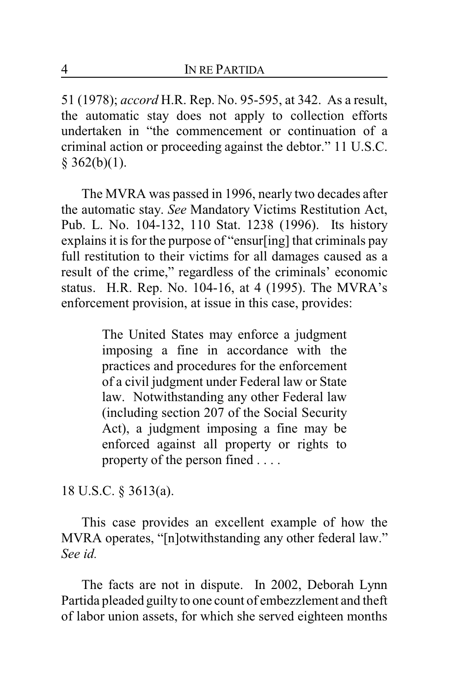51 (1978); *accord* H.R. Rep. No. 95-595, at 342. As a result, the automatic stay does not apply to collection efforts undertaken in "the commencement or continuation of a criminal action or proceeding against the debtor." 11 U.S.C.  $§$  362(b)(1).

The MVRA was passed in 1996, nearly two decades after the automatic stay. *See* Mandatory Victims Restitution Act, Pub. L. No. 104-132, 110 Stat. 1238 (1996). Its history explains it is for the purpose of "ensur[ing] that criminals pay full restitution to their victims for all damages caused as a result of the crime," regardless of the criminals' economic status. H.R. Rep. No. 104-16, at 4 (1995). The MVRA's enforcement provision, at issue in this case, provides:

> The United States may enforce a judgment imposing a fine in accordance with the practices and procedures for the enforcement of a civil judgment under Federal law or State law. Notwithstanding any other Federal law (including section 207 of the Social Security Act), a judgment imposing a fine may be enforced against all property or rights to property of the person fined . . . .

18 U.S.C. § 3613(a).

This case provides an excellent example of how the MVRA operates, "[n]otwithstanding any other federal law." *See id.*

The facts are not in dispute. In 2002, Deborah Lynn Partida pleaded guilty to one count of embezzlement and theft of labor union assets, for which she served eighteen months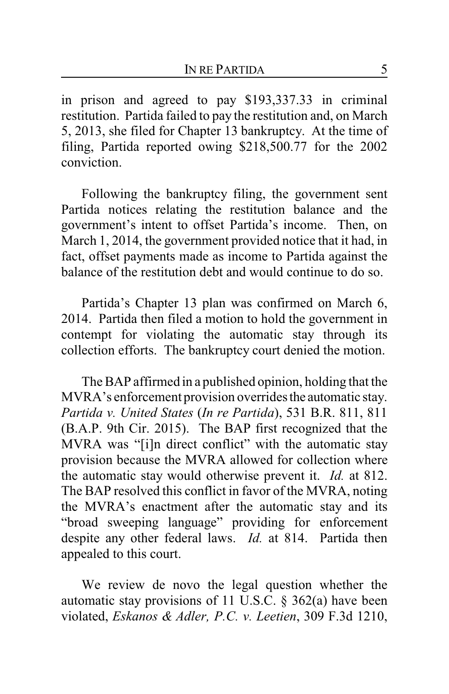in prison and agreed to pay \$193,337.33 in criminal restitution. Partida failed to pay the restitution and, on March 5, 2013, she filed for Chapter 13 bankruptcy. At the time of filing, Partida reported owing \$218,500.77 for the 2002 conviction.

Following the bankruptcy filing, the government sent Partida notices relating the restitution balance and the government's intent to offset Partida's income. Then, on March 1, 2014, the government provided notice that it had, in fact, offset payments made as income to Partida against the balance of the restitution debt and would continue to do so.

Partida's Chapter 13 plan was confirmed on March 6, 2014. Partida then filed a motion to hold the government in contempt for violating the automatic stay through its collection efforts. The bankruptcy court denied the motion.

The BAP affirmed in a published opinion, holding that the MVRA's enforcement provision overrides the automatic stay. *Partida v. United States* (*In re Partida*), 531 B.R. 811, 811 (B.A.P. 9th Cir. 2015). The BAP first recognized that the MVRA was "[i]n direct conflict" with the automatic stay provision because the MVRA allowed for collection where the automatic stay would otherwise prevent it. *Id.* at 812. The BAP resolved this conflict in favor of the MVRA, noting the MVRA's enactment after the automatic stay and its "broad sweeping language" providing for enforcement despite any other federal laws. *Id.* at 814. Partida then appealed to this court.

We review de novo the legal question whether the automatic stay provisions of 11 U.S.C. § 362(a) have been violated, *Eskanos & Adler, P.C. v. Leetien*, 309 F.3d 1210,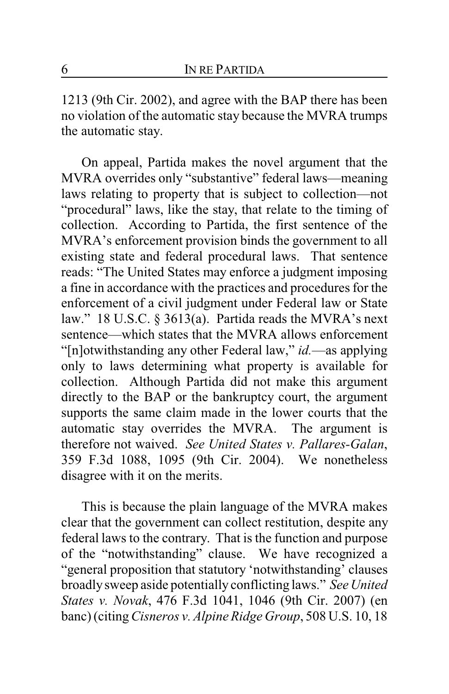1213 (9th Cir. 2002), and agree with the BAP there has been no violation of the automatic stay because the MVRA trumps the automatic stay.

On appeal, Partida makes the novel argument that the MVRA overrides only "substantive" federal laws—meaning laws relating to property that is subject to collection—not "procedural" laws, like the stay, that relate to the timing of collection. According to Partida, the first sentence of the MVRA's enforcement provision binds the government to all existing state and federal procedural laws. That sentence reads: "The United States may enforce a judgment imposing a fine in accordance with the practices and procedures for the enforcement of a civil judgment under Federal law or State law." 18 U.S.C. § 3613(a). Partida reads the MVRA's next sentence—which states that the MVRA allows enforcement "[n]otwithstanding any other Federal law," *id.*—as applying only to laws determining what property is available for collection. Although Partida did not make this argument directly to the BAP or the bankruptcy court, the argument supports the same claim made in the lower courts that the automatic stay overrides the MVRA. The argument is therefore not waived. *See United States v. Pallares-Galan*, 359 F.3d 1088, 1095 (9th Cir. 2004). We nonetheless disagree with it on the merits.

This is because the plain language of the MVRA makes clear that the government can collect restitution, despite any federal laws to the contrary. That is the function and purpose of the "notwithstanding" clause. We have recognized a "general proposition that statutory 'notwithstanding' clauses broadlysweep aside potentially conflicting laws." *See United States v. Novak*, 476 F.3d 1041, 1046 (9th Cir. 2007) (en banc) (citing*Cisneros v. Alpine Ridge Group*, 508 U.S. 10, 18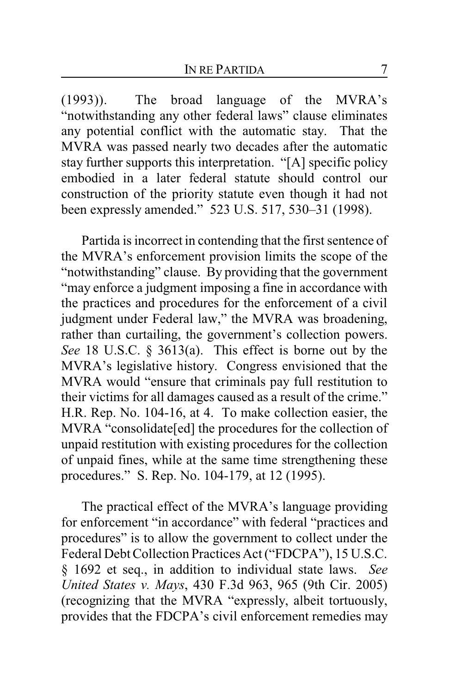(1993)). The broad language of the MVRA's "notwithstanding any other federal laws" clause eliminates any potential conflict with the automatic stay. That the MVRA was passed nearly two decades after the automatic stay further supports this interpretation. "[A] specific policy embodied in a later federal statute should control our construction of the priority statute even though it had not been expressly amended." 523 U.S. 517, 530–31 (1998).

Partida is incorrect in contending that the first sentence of the MVRA's enforcement provision limits the scope of the "notwithstanding" clause. By providing that the government "may enforce a judgment imposing a fine in accordance with the practices and procedures for the enforcement of a civil judgment under Federal law," the MVRA was broadening, rather than curtailing, the government's collection powers. *See* 18 U.S.C. § 3613(a). This effect is borne out by the MVRA's legislative history. Congress envisioned that the MVRA would "ensure that criminals pay full restitution to their victims for all damages caused as a result of the crime." H.R. Rep. No. 104-16, at 4. To make collection easier, the MVRA "consolidate[ed] the procedures for the collection of unpaid restitution with existing procedures for the collection of unpaid fines, while at the same time strengthening these procedures." S. Rep. No. 104-179, at 12 (1995).

The practical effect of the MVRA's language providing for enforcement "in accordance" with federal "practices and procedures" is to allow the government to collect under the Federal Debt Collection Practices Act ("FDCPA"), 15 U.S.C. § 1692 et seq., in addition to individual state laws. *See United States v. Mays*, 430 F.3d 963, 965 (9th Cir. 2005) (recognizing that the MVRA "expressly, albeit tortuously, provides that the FDCPA's civil enforcement remedies may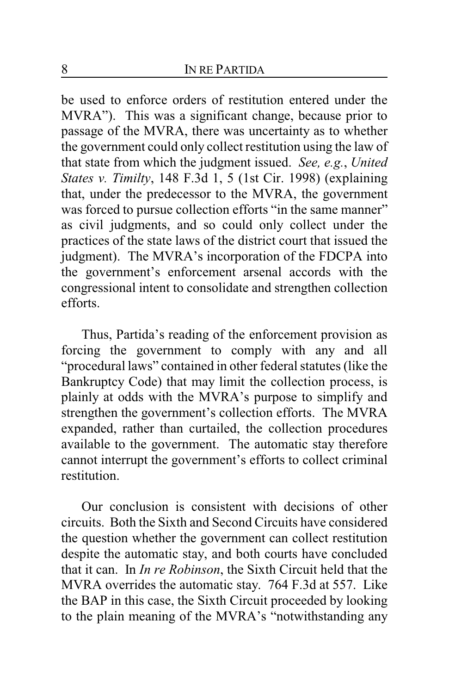be used to enforce orders of restitution entered under the MVRA"). This was a significant change, because prior to passage of the MVRA, there was uncertainty as to whether the government could only collect restitution using the law of that state from which the judgment issued. *See, e.g.*, *United States v. Timilty*, 148 F.3d 1, 5 (1st Cir. 1998) (explaining that, under the predecessor to the MVRA, the government was forced to pursue collection efforts "in the same manner" as civil judgments, and so could only collect under the practices of the state laws of the district court that issued the judgment). The MVRA's incorporation of the FDCPA into the government's enforcement arsenal accords with the congressional intent to consolidate and strengthen collection efforts.

Thus, Partida's reading of the enforcement provision as forcing the government to comply with any and all "procedural laws" contained in other federal statutes (like the Bankruptcy Code) that may limit the collection process, is plainly at odds with the MVRA's purpose to simplify and strengthen the government's collection efforts. The MVRA expanded, rather than curtailed, the collection procedures available to the government. The automatic stay therefore cannot interrupt the government's efforts to collect criminal restitution.

Our conclusion is consistent with decisions of other circuits. Both the Sixth and Second Circuits have considered the question whether the government can collect restitution despite the automatic stay, and both courts have concluded that it can. In *In re Robinson*, the Sixth Circuit held that the MVRA overrides the automatic stay. 764 F.3d at 557. Like the BAP in this case, the Sixth Circuit proceeded by looking to the plain meaning of the MVRA's "notwithstanding any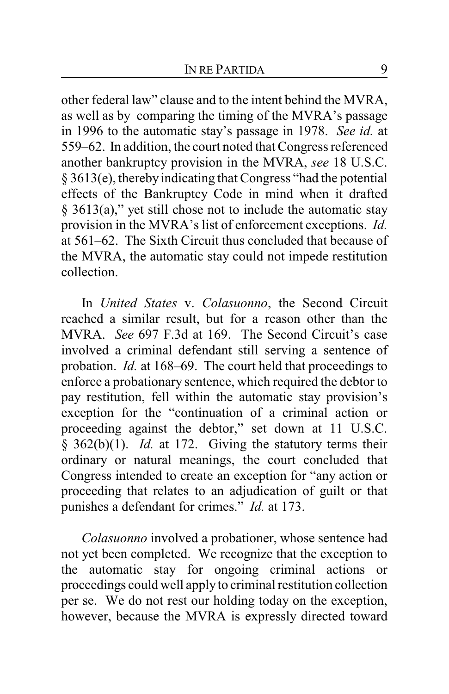other federal law" clause and to the intent behind the MVRA, as well as by comparing the timing of the MVRA's passage in 1996 to the automatic stay's passage in 1978. *See id.* at 559–62. In addition, the court noted that Congress referenced another bankruptcy provision in the MVRA, *see* 18 U.S.C. § 3613(e), thereby indicating that Congress "had the potential effects of the Bankruptcy Code in mind when it drafted § 3613(a)," yet still chose not to include the automatic stay provision in the MVRA's list of enforcement exceptions. *Id.* at 561–62. The Sixth Circuit thus concluded that because of the MVRA, the automatic stay could not impede restitution collection.

In *United States* v. *Colasuonno*, the Second Circuit reached a similar result, but for a reason other than the MVRA. *See* 697 F.3d at 169. The Second Circuit's case involved a criminal defendant still serving a sentence of probation. *Id.* at 168–69. The court held that proceedings to enforce a probationary sentence, which required the debtor to pay restitution, fell within the automatic stay provision's exception for the "continuation of a criminal action or proceeding against the debtor," set down at 11 U.S.C. § 362(b)(1). *Id.* at 172. Giving the statutory terms their ordinary or natural meanings, the court concluded that Congress intended to create an exception for "any action or proceeding that relates to an adjudication of guilt or that punishes a defendant for crimes." *Id.* at 173.

*Colasuonno* involved a probationer, whose sentence had not yet been completed. We recognize that the exception to the automatic stay for ongoing criminal actions or proceedings could well applyto criminal restitution collection per se. We do not rest our holding today on the exception, however, because the MVRA is expressly directed toward